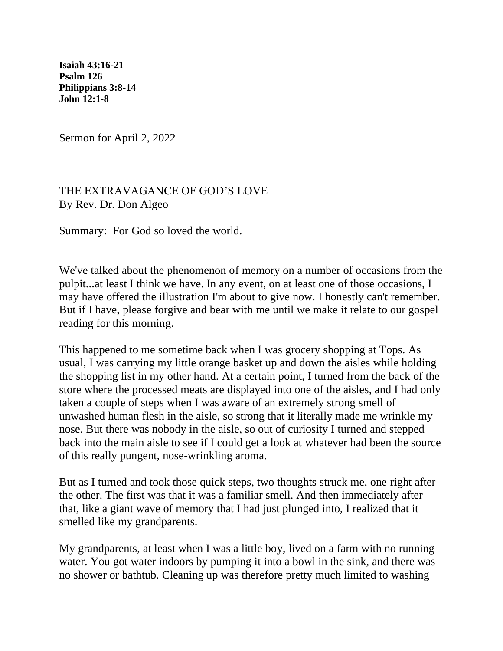**[Isaiah 43:16-21](https://lectionary.library.vanderbilt.edu/texts.php?id=122#hebrew_reading)  [Psalm 126](https://lectionary.library.vanderbilt.edu/texts.php?id=122#psalm_reading)  [Philippians 3:8-14](https://lectionary.library.vanderbilt.edu/texts.php?id=122#epistle_reading)  [John 12:1-8](https://lectionary.library.vanderbilt.edu/texts.php?id=122#gospel_reading)**

Sermon for April 2, 2022

## THE EXTRAVAGANCE OF GOD'S LOVE By Rev. Dr. Don Algeo

Summary: For God so loved the world.

We've talked about the phenomenon of memory on a number of occasions from the pulpit...at least I think we have. In any event, on at least one of those occasions, I may have offered the illustration I'm about to give now. I honestly can't remember. But if I have, please forgive and bear with me until we make it relate to our gospel reading for this morning.

This happened to me sometime back when I was grocery shopping at Tops. As usual, I was carrying my little orange basket up and down the aisles while holding the shopping list in my other hand. At a certain point, I turned from the back of the store where the processed meats are displayed into one of the aisles, and I had only taken a couple of steps when I was aware of an extremely strong smell of unwashed human flesh in the aisle, so strong that it literally made me wrinkle my nose. But there was nobody in the aisle, so out of curiosity I turned and stepped back into the main aisle to see if I could get a look at whatever had been the source of this really pungent, nose-wrinkling aroma.

But as I turned and took those quick steps, two thoughts struck me, one right after the other. The first was that it was a familiar smell. And then immediately after that, like a giant wave of memory that I had just plunged into, I realized that it smelled like my grandparents.

My grandparents, at least when I was a little boy, lived on a farm with no running water. You got water indoors by pumping it into a bowl in the sink, and there was no shower or bathtub. Cleaning up was therefore pretty much limited to washing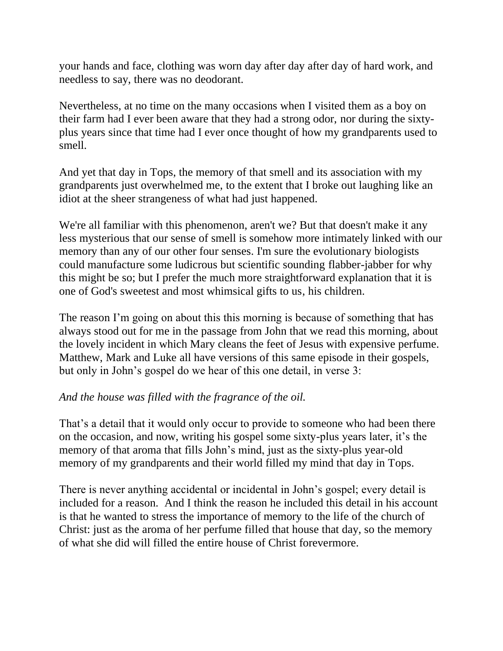your hands and face, clothing was worn day after day after day of hard work, and needless to say, there was no deodorant.

Nevertheless, at no time on the many occasions when I visited them as a boy on their farm had I ever been aware that they had a strong odor, nor during the sixtyplus years since that time had I ever once thought of how my grandparents used to smell.

And yet that day in Tops, the memory of that smell and its association with my grandparents just overwhelmed me, to the extent that I broke out laughing like an idiot at the sheer strangeness of what had just happened.

We're all familiar with this phenomenon, aren't we? But that doesn't make it any less mysterious that our sense of smell is somehow more intimately linked with our memory than any of our other four senses. I'm sure the evolutionary biologists could manufacture some ludicrous but scientific sounding flabber-jabber for why this might be so; but I prefer the much more straightforward explanation that it is one of God's sweetest and most whimsical gifts to us, his children.

The reason I'm going on about this this morning is because of something that has always stood out for me in the passage from John that we read this morning, about the lovely incident in which Mary cleans the feet of Jesus with expensive perfume. Matthew, Mark and Luke all have versions of this same episode in their gospels, but only in John's gospel do we hear of this one detail, in verse 3:

## *And the house was filled with the fragrance of the oil.*

That's a detail that it would only occur to provide to someone who had been there on the occasion, and now, writing his gospel some sixty-plus years later, it's the memory of that aroma that fills John's mind, just as the sixty-plus year-old memory of my grandparents and their world filled my mind that day in Tops.

There is never anything accidental or incidental in John's gospel; every detail is included for a reason. And I think the reason he included this detail in his account is that he wanted to stress the importance of memory to the life of the church of Christ: just as the aroma of her perfume filled that house that day, so the memory of what she did will filled the entire house of Christ forevermore.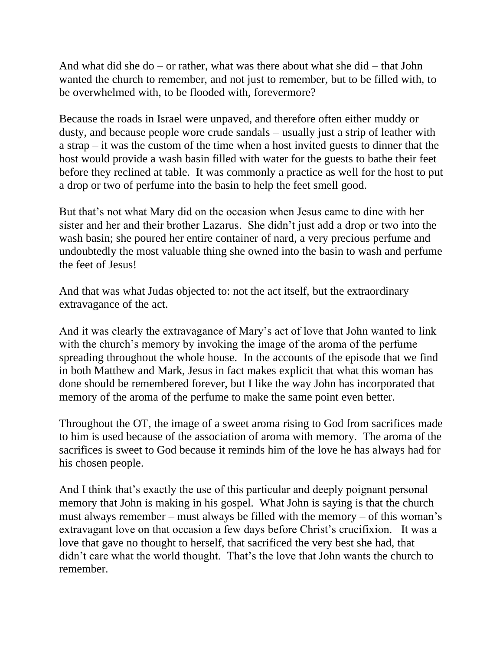And what did she do – or rather, what was there about what she did – that John wanted the church to remember, and not just to remember, but to be filled with, to be overwhelmed with, to be flooded with, forevermore?

Because the roads in Israel were unpaved, and therefore often either muddy or dusty, and because people wore crude sandals – usually just a strip of leather with a strap – it was the custom of the time when a host invited guests to dinner that the host would provide a wash basin filled with water for the guests to bathe their feet before they reclined at table. It was commonly a practice as well for the host to put a drop or two of perfume into the basin to help the feet smell good.

But that's not what Mary did on the occasion when Jesus came to dine with her sister and her and their brother Lazarus. She didn't just add a drop or two into the wash basin; she poured her entire container of nard, a very precious perfume and undoubtedly the most valuable thing she owned into the basin to wash and perfume the feet of Jesus!

And that was what Judas objected to: not the act itself, but the extraordinary extravagance of the act.

And it was clearly the extravagance of Mary's act of love that John wanted to link with the church's memory by invoking the image of the aroma of the perfume spreading throughout the whole house. In the accounts of the episode that we find in both Matthew and Mark, Jesus in fact makes explicit that what this woman has done should be remembered forever, but I like the way John has incorporated that memory of the aroma of the perfume to make the same point even better.

Throughout the OT, the image of a sweet aroma rising to God from sacrifices made to him is used because of the association of aroma with memory. The aroma of the sacrifices is sweet to God because it reminds him of the love he has always had for his chosen people.

And I think that's exactly the use of this particular and deeply poignant personal memory that John is making in his gospel. What John is saying is that the church must always remember – must always be filled with the memory – of this woman's extravagant love on that occasion a few days before Christ's crucifixion. It was a love that gave no thought to herself, that sacrificed the very best she had, that didn't care what the world thought. That's the love that John wants the church to remember.